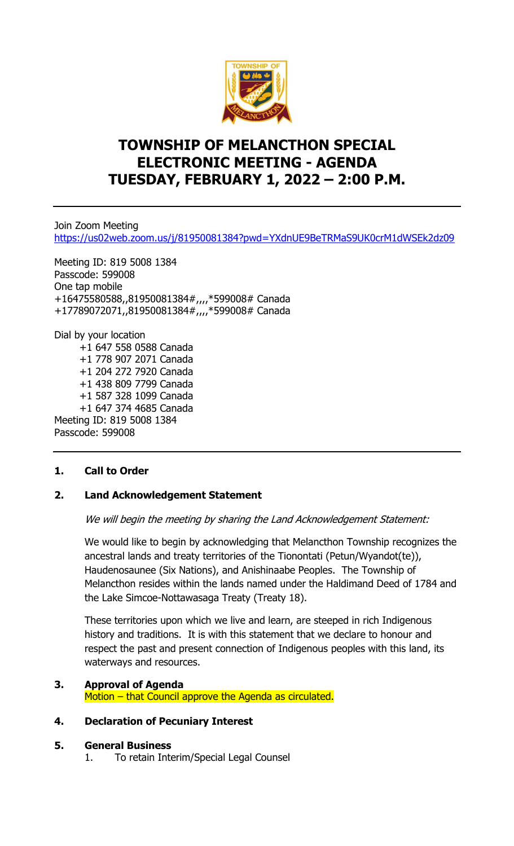

# **TOWNSHIP OF MELANCTHON SPECIAL ELECTRONIC MEETING - AGENDA TUESDAY, FEBRUARY 1, 2022 – 2:00 P.M.**

Join Zoom Meeting <https://us02web.zoom.us/j/81950081384?pwd=YXdnUE9BeTRMaS9UK0crM1dWSEk2dz09>

Meeting ID: 819 5008 1384 Passcode: 599008 One tap mobile +16475580588,,81950081384#,,,,\*599008# Canada +17789072071,,81950081384#,,,,\*599008# Canada

Dial by your location +1 647 558 0588 Canada +1 778 907 2071 Canada +1 204 272 7920 Canada +1 438 809 7799 Canada +1 587 328 1099 Canada +1 647 374 4685 Canada Meeting ID: 819 5008 1384 Passcode: 599008

#### **1. Call to Order**

#### **2. Land Acknowledgement Statement**

We will begin the meeting by sharing the Land Acknowledgement Statement:

We would like to begin by acknowledging that Melancthon Township recognizes the ancestral lands and treaty territories of the Tionontati (Petun/Wyandot(te)), Haudenosaunee (Six Nations), and Anishinaabe Peoples. The Township of Melancthon resides within the lands named under the Haldimand Deed of 1784 and the Lake Simcoe-Nottawasaga Treaty (Treaty 18).

These territories upon which we live and learn, are steeped in rich Indigenous history and traditions. It is with this statement that we declare to honour and respect the past and present connection of Indigenous peoples with this land, its waterways and resources.

**3. Approval of Agenda** Motion – that Council approve the Agenda as circulated.

#### **4. Declaration of Pecuniary Interest**

#### **5. General Business**

1. To retain Interim/Special Legal Counsel